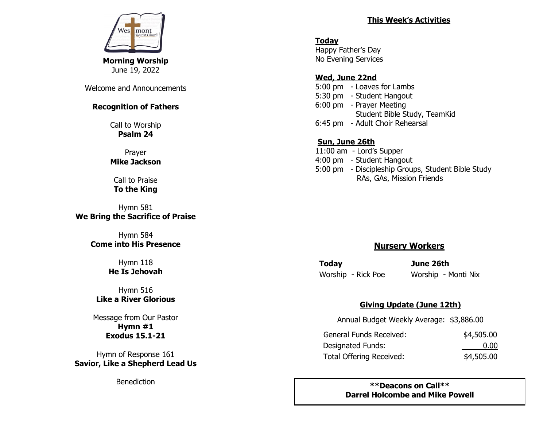

Welcome and Announcements

#### **Recognition of Fathers**

Call to Worship **Psalm 24**

Prayer **Mike Jackson**

Call to Praise **To the King**

Hymn 581 **We Bring the Sacrifice of Praise**

> Hymn 584 **Come into His Presence**

> > Hymn 118 **He Is Jehovah**

Hymn 516 **Like a River Glorious**

Message from Our Pastor **Hymn #1 Exodus 15.1-21** 

Hymn of Response 161 **Savior, Like a Shepherd Lead Us**

**Benediction** 

### **This Week's Activities**

**Today** Happy Father's Day No Evening Services

### **Wed, June 22nd**

5:00 pm - Loaves for Lambs 5:30 pm - Student Hangout 6:00 pm - Prayer Meeting Student Bible Study, TeamKid 6:45 pm - Adult Choir Rehearsal

# **Sun, June 26th**

11:00 am - Lord's Supper 4:00 pm - Student Hangout 5:00 pm - Discipleship Groups, Student Bible Study RAs, GAs, Mission Friends

# **Nursery Workers**

**Today June 26th**  Worship - Rick Poe Worship - Monti Nix

### **Giving Update (June 12th)**

Annual Budget Weekly Average: \$3,886.00

| General Funds Received:  | \$4,505.00 |
|--------------------------|------------|
| Designated Funds:        | 0.00       |
| Total Offering Received: | \$4,505.00 |

**\*\*Deacons on Call\*\* Darrel Holcombe and Mike Powell**